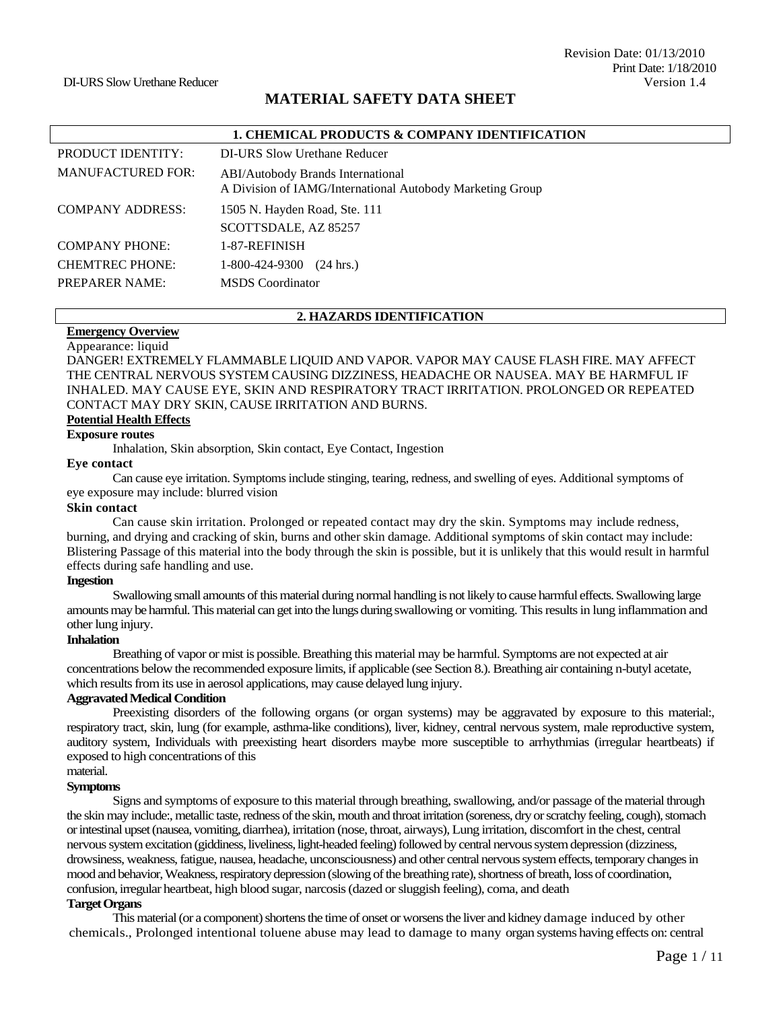# **MATERIAL SAFETY DATA SHEET**

|                          | 1. CHEMICAL PRODUCTS & COMPANY IDENTIFICATION                                                         |
|--------------------------|-------------------------------------------------------------------------------------------------------|
| PRODUCT IDENTITY:        | DI-URS Slow Urethane Reducer                                                                          |
| <b>MANUFACTURED FOR:</b> | <b>ABI/Autobody Brands International</b><br>A Division of IAMG/International Autobody Marketing Group |
| <b>COMPANY ADDRESS:</b>  | 1505 N. Hayden Road, Ste. 111                                                                         |
|                          | SCOTTSDALE, AZ 85257                                                                                  |
| <b>COMPANY PHONE:</b>    | 1-87-REFINISH                                                                                         |
| <b>CHEMTREC PHONE:</b>   | 1-800-424-9300<br>$(24 \text{ hrs.})$                                                                 |
| <b>PREPARER NAME:</b>    | <b>MSDS</b> Coordinator                                                                               |

#### **2. HAZARDS IDENTIFICATION**

#### **Emergency Overview**  Appearance: liquid

DANGER! EXTREMELY FLAMMABLE LIQUID AND VAPOR. VAPOR MAY CAUSE FLASH FIRE. MAY AFFECT THE CENTRAL NERVOUS SYSTEM CAUSING DIZZINESS, HEADACHE OR NAUSEA. MAY BE HARMFUL IF INHALED. MAY CAUSE EYE, SKIN AND RESPIRATORY TRACT IRRITATION. PROLONGED OR REPEATED CONTACT MAY DRY SKIN, CAUSE IRRITATION AND BURNS.

# **Potential Health Effects**

# **Exposure routes**

Inhalation, Skin absorption, Skin contact, Eye Contact, Ingestion

#### **Eye contact**

Can cause eye irritation. Symptoms include stinging, tearing, redness, and swelling of eyes. Additional symptoms of eye exposure may include: blurred vision

#### **Skin contact**

Can cause skin irritation. Prolonged or repeated contact may dry the skin. Symptoms may include redness, burning, and drying and cracking of skin, burns and other skin damage. Additional symptoms of skin contact may include: Blistering Passage of this material into the body through the skin is possible, but it is unlikely that this would result in harmful effects during safe handling and use.

#### **Ingestion**

Swallowing small amounts of this material during normal handling is not likely to cause harmful effects. Swallowing large amounts may be harmful. This material can get into the lungs during swallowing or vomiting. This results in lung inflammation and other lung injury.

#### **Inhalation**

Breathing of vapor or mist is possible. Breathing this material may be harmful. Symptoms are not expected at air concentrations below the recommended exposure limits, if applicable (see Section 8.). Breathing air containing n-butyl acetate, which results from its use in aerosol applications, may cause delayed lung injury.

#### **Aggravated Medical Condition**

Preexisting disorders of the following organs (or organ systems) may be aggravated by exposure to this material:, respiratory tract, skin, lung (for example, asthma-like conditions), liver, kidney, central nervous system, male reproductive system, auditory system, Individuals with preexisting heart disorders maybe more susceptible to arrhythmias (irregular heartbeats) if exposed to high concentrations of this

#### material. **Symptoms**

Signs and symptoms of exposure to this material through breathing, swallowing, and/or passage of the material through the skin may include:, metallic taste, redness of the skin, mouth and throat irritation (soreness, dry or scratchy feeling, cough), stomach or intestinal upset (nausea, vomiting, diarrhea), irritation (nose, throat, airways), Lung irritation, discomfort in the chest, central nervous system excitation (giddiness, liveliness, light-headed feeling) followed by central nervous system depression (dizziness, drowsiness, weakness, fatigue, nausea, headache, unconsciousness) and other central nervous system effects, temporary changes in mood and behavior, Weakness, respiratory depression (slowing of the breathing rate), shortness of breath, loss of coordination, confusion, irregular heartbeat, high blood sugar, narcosis (dazed or sluggish feeling), coma, and death

# **Target Organs**

This material (or a component) shortens the time of onset or worsens the liver and kidney damage induced by other chemicals., Prolonged intentional toluene abuse may lead to damage to many organ systems having effects on: central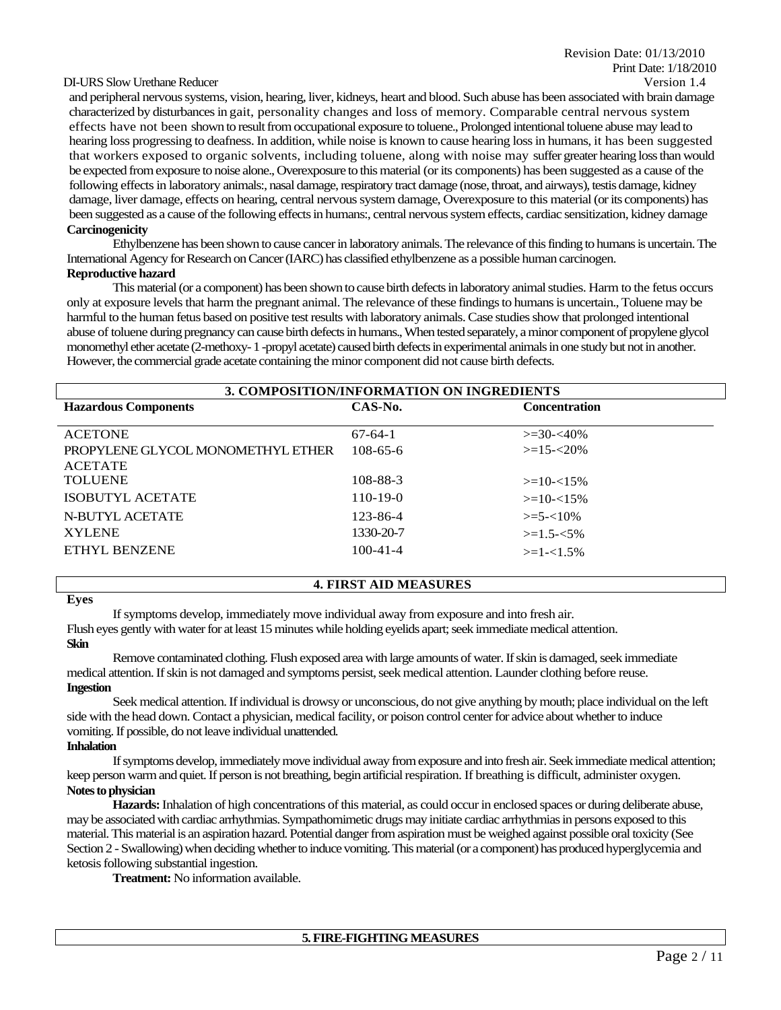#### DI-URS Slow Urethane Reducer Version 1.4

and peripheral nervous systems, vision, hearing, liver, kidneys, heart and blood. Such abuse has been associated with brain damage characterized by disturbances in gait, personality changes and loss of memory. Comparable central nervous system effects have not been shown to result from occupational exposure to toluene., Prolonged intentional toluene abuse may lead to hearing loss progressing to deafness. In addition, while noise is known to cause hearing loss in humans, it has been suggested that workers exposed to organic solvents, including toluene, along with noise may suffer greater hearing loss than would be expected from exposure to noise alone., Overexposure to this material (or its components) has been suggested as a cause of the following effects in laboratory animals:, nasal damage, respiratory tract damage (nose, throat, and airways), testis damage, kidney damage, liver damage, effects on hearing, central nervous system damage, Overexposure to this material (or its components) has been suggested as a cause of the following effects in humans:, central nervous system effects, cardiac sensitization, kidney damage **Carcinogenicity**

Ethylbenzene has been shown to cause cancer in laboratory animals. The relevance of this finding to humans is uncertain. The International Agency for Research on Cancer (IARC) has classified ethylbenzene as a possible human carcinogen. **Reproductive hazard**

This material (or a component) has been shown to cause birth defects in laboratory animal studies. Harm to the fetus occurs only at exposure levels that harm the pregnant animal. The relevance of these findings to humans is uncertain., Toluene may be harmful to the human fetus based on positive test results with laboratory animals. Case studies show that prolonged intentional abuse of toluene during pregnancy can cause birth defects in humans., When tested separately, a minor component of propylene glycol monomethyl ether acetate (2-methoxy-1 -propyl acetate) caused birth defects in experimental animals in one study but not in another. However, the commercial grade acetate containing the minor component did not cause birth defects.

| 3. COMPOSITION/INFORMATION ON INGREDIENTS |                |                      |  |  |
|-------------------------------------------|----------------|----------------------|--|--|
| <b>Hazardous Components</b>               | CAS-No.        | <b>Concentration</b> |  |  |
|                                           |                |                      |  |  |
| <b>ACETONE</b>                            | $67-64-1$      | $>=$ 30- $<$ 40%     |  |  |
| PROPYLENE GLYCOL MONOMETHYL ETHER         | $108 - 65 - 6$ | $>=15 - 20\%$        |  |  |
| <b>ACETATE</b>                            |                |                      |  |  |
| <b>TOLUENE</b>                            | 108-88-3       | $>=10-15%$           |  |  |
| <b>ISOBUTYL ACETATE</b>                   | $110-19-0$     | $>=10-15%$           |  |  |
| N-BUTYL ACETATE                           | 123-86-4       | $\geq 5 - 10\%$      |  |  |
| <b>XYLENE</b>                             | 1330-20-7      | $>=1.5 - 5\%$        |  |  |
| <b>ETHYL BENZENE</b>                      | $100 - 41 - 4$ | $>=1-1.5%$           |  |  |
|                                           |                |                      |  |  |

#### **4. FIRST AID MEASURES**

If symptoms develop, immediately move individual away from exposure and into fresh air.

Flush eyes gently with water for at least 15 minutes while holding eyelids apart; seek immediatemedical attention. **Skin**

#### Remove contaminated clothing. Flush exposed area with large amounts of water. If skin is damaged, seek immediate medical attention. If skin is not damaged and symptoms persist, seek medical attention. Launder clothing before reuse. **Ingestion**

Seek medical attention. If individual is drowsy or unconscious, do not give anything by mouth; place individual on the left side with the head down. Contact a physician, medical facility, or poison control center for advice about whether to induce vomiting. If possible, do not leave individual unattended.

#### **Inhalation**

If symptoms develop, immediately move individual away from exposure and into fresh air. Seek immediate medical attention; keep person warm and quiet. If person is not breathing, begin artificial respiration. If breathing is difficult, administer oxygen. **Notes to physician**

**Hazards:** Inhalation of high concentrations of this material, as could occur in enclosed spaces or during deliberate abuse, may be associated with cardiac arrhythmias.Sympathomimetic drugs may initiate cardiac arrhythmias in persons exposed to this material. This material is an aspiration hazard. Potential danger from aspiration must be weighed against possible oral toxicity (See Section 2 - Swallowing) when deciding whether to induce vomiting. This material (or a component) has produced hyperglycemia and ketosis following substantial ingestion.

**Treatment:** No information available.

**Eyes**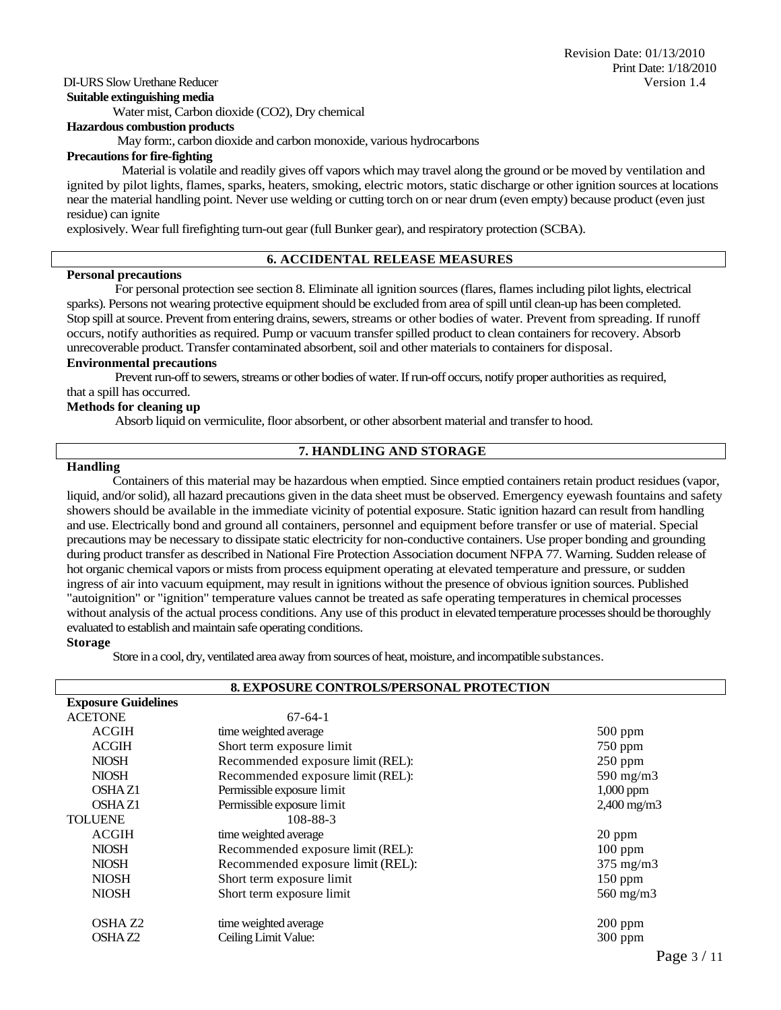#### **Suitable extinguishing media**

Water mist, Carbon dioxide (CO2), Dry chemical

#### **Hazardous combustion products**

May form:, carbon dioxide and carbon monoxide, various hydrocarbons

# **Precautions for fire-fighting**

Material is volatile and readily gives off vapors which may travel along the ground or be moved by ventilation and ignited by pilot lights, flames, sparks, heaters, smoking, electric motors, static discharge or other ignition sources at locations near the material handling point. Never use welding or cutting torch on or near drum (even empty) because product (even just residue) can ignite

explosively. Wear full firefighting turn-out gear (full Bunker gear), and respiratory protection (SCBA).

# **6. ACCIDENTAL RELEASE MEASURES**

#### **Personal precautions**

For personal protection see section 8. Eliminate all ignition sources (flares, flames including pilot lights, electrical sparks). Persons not wearing protective equipment should be excluded from area of spill until clean-up has been completed. Stop spill at source. Prevent from entering drains, sewers, streams or other bodies of water. Prevent from spreading. If runoff occurs, notify authorities as required. Pump or vacuum transfer spilled product to clean containers for recovery. Absorb unrecoverable product. Transfer contaminated absorbent, soil and other materials to containers for disposal.

#### **Environmental precautions**

Prevent run-off to sewers, streams or other bodies of water. If run-off occurs, notify proper authorities as required, that a spill has occurred.

#### **Methods for cleaning up**

Absorb liquid on vermiculite, floor absorbent, or other absorbent material and transfer to hood.

#### **7. HANDLING AND STORAGE**

#### **Handling**

Containers of this material may be hazardous when emptied. Since emptied containers retain product residues (vapor, liquid, and/or solid), all hazard precautions given in the data sheet must be observed. Emergency eyewash fountains and safety showers should be available in the immediate vicinity of potential exposure. Static ignition hazard can result from handling and use. Electrically bond and ground all containers, personnel and equipment before transfer or use of material. Special precautions may be necessary to dissipate static electricity for non-conductive containers. Use proper bonding and grounding during product transfer as described in National Fire Protection Association document NFPA 77. Warning. Sudden release of hot organic chemical vapors or mists from process equipment operating at elevated temperature and pressure, or sudden ingress of air into vacuum equipment, may result in ignitions without the presence of obvious ignition sources. Published "autoignition" or "ignition" temperature values cannot be treated as safe operating temperatures in chemical processes without analysis of the actual process conditions. Any use of this product in elevated temperature processes should be thoroughly evaluated to establish and maintain safe operating conditions.

#### **Storage**

Store in a cool, dry, ventilated area away from sources of heat, moisture, and incompatible substances.

| 8. EXPOSURE CONTROLS/PERSONAL PROTECTION |                                   |                         |  |
|------------------------------------------|-----------------------------------|-------------------------|--|
| <b>Exposure Guidelines</b>               |                                   |                         |  |
| <b>ACETONE</b>                           | $67-64-1$                         |                         |  |
| <b>ACGIH</b>                             | time weighted average             | $500$ ppm               |  |
| <b>ACGIH</b>                             | Short term exposure limit         | 750 ppm                 |  |
| <b>NIOSH</b>                             | Recommended exposure limit (REL): | $250$ ppm               |  |
| <b>NIOSH</b>                             | Recommended exposure limit (REL): | 590 mg/m $3$            |  |
| OSHA Z1                                  | Permissible exposure limit        | $1,000$ ppm             |  |
| OSHA <sub>Z1</sub>                       | Permissible exposure limit        | $2,400 \,\mathrm{mg/m}$ |  |
| <b>TOLUENE</b>                           | 108-88-3                          |                         |  |
| <b>ACGIH</b>                             | time weighted average             | 20 ppm                  |  |
| <b>NIOSH</b>                             | Recommended exposure limit (REL): | $100$ ppm               |  |
| <b>NIOSH</b>                             | Recommended exposure limit (REL): | $375 \text{ mg/m}$      |  |
| <b>NIOSH</b>                             | Short term exposure limit         | 150 ppm                 |  |
| <b>NIOSH</b>                             | Short term exposure limit         | $560$ mg/m $3$          |  |
| OSHA <sub>Z2</sub>                       | time weighted average             | $200$ ppm               |  |
| OSHA <sub>Z2</sub>                       | Ceiling Limit Value:              | 300 ppm                 |  |
|                                          |                                   | $\sim$                  |  |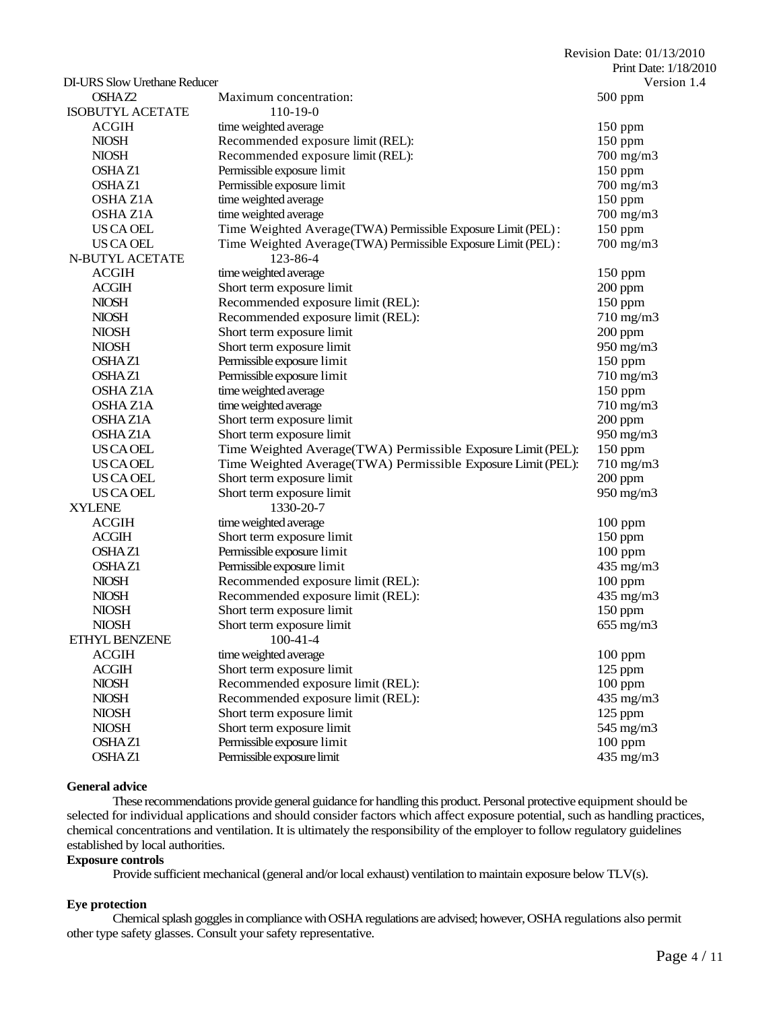|                                     |                                                              | Revision Date: 01/13/2010 |
|-------------------------------------|--------------------------------------------------------------|---------------------------|
|                                     |                                                              | Print Date: 1/18/2010     |
| <b>DI-URS Slow Urethane Reducer</b> |                                                              | Version 1.4               |
| OSHAZ2                              | Maximum concentration:                                       | $500$ ppm                 |
| <b>ISOBUTYL ACETATE</b>             | $110-19-0$                                                   |                           |
| <b>ACGIH</b>                        | time weighted average                                        | 150 ppm                   |
| <b>NIOSH</b>                        | Recommended exposure limit (REL):                            | $150$ ppm                 |
| <b>NIOSH</b>                        | Recommended exposure limit (REL):                            | 700 mg/m3                 |
| <b>OSHAZ1</b>                       | Permissible exposure limit                                   | 150 ppm                   |
| OSHA <sub>Z1</sub>                  | Permissible exposure limit                                   | 700 mg/m3                 |
| <b>OSHA Z1A</b>                     | time weighted average                                        | 150 ppm                   |
| <b>OSHA Z1A</b>                     | time weighted average                                        | 700 mg/m3                 |
| US CA OEL                           | Time Weighted Average(TWA) Permissible Exposure Limit (PEL): | 150 ppm                   |
| US CA OEL                           | Time Weighted Average(TWA) Permissible Exposure Limit (PEL): | $700$ mg/m $3$            |
| N-BUTYL ACETATE                     | 123-86-4                                                     |                           |
| <b>ACGIH</b>                        | time weighted average                                        | $150$ ppm                 |
| <b>ACGIH</b>                        | Short term exposure limit                                    | 200 ppm                   |
| <b>NIOSH</b>                        | Recommended exposure limit (REL):                            | $150$ ppm                 |
| <b>NIOSH</b>                        | Recommended exposure limit (REL):                            | 710 mg/m3                 |
| <b>NIOSH</b>                        | Short term exposure limit                                    | $200$ ppm                 |
| <b>NIOSH</b>                        | Short term exposure limit                                    | 950 mg/m3                 |
| <b>OSHAZ1</b>                       | Permissible exposure limit                                   | $150$ ppm                 |
| <b>OSHAZ1</b>                       | Permissible exposure limit                                   | 710 mg/m3                 |
| <b>OSHAZ1A</b>                      | time weighted average                                        | 150 ppm                   |
| <b>OSHAZ1A</b>                      | time weighted average                                        | 710 mg/m3                 |
| <b>OSHAZ1A</b>                      | Short term exposure limit                                    | $200$ ppm                 |
| <b>OSHAZ1A</b>                      | Short term exposure limit                                    | 950 mg/m3                 |
| <b>US CA OEL</b>                    | Time Weighted Average(TWA) Permissible Exposure Limit (PEL): | 150 ppm                   |
| <b>US CA OEL</b>                    | Time Weighted Average(TWA) Permissible Exposure Limit (PEL): | $710$ mg/m $3$            |
| US CA OEL                           | Short term exposure limit                                    | $200$ ppm                 |
| US CA OEL                           | Short term exposure limit                                    | 950 mg/m3                 |
| <b>XYLENE</b>                       | 1330-20-7                                                    |                           |
| <b>ACGIH</b>                        | time weighted average                                        | $100$ ppm                 |
| <b>ACGIH</b>                        | Short term exposure limit                                    | 150 ppm                   |
| <b>OSHAZ1</b>                       | Permissible exposure limit                                   | $100$ ppm                 |
| <b>OSHAZ1</b>                       | Permissible exposure limit                                   | 435 mg/m3                 |
| <b>NIOSH</b>                        | Recommended exposure limit (REL):                            | $100$ ppm                 |
| <b>NIOSH</b>                        | Recommended exposure limit (REL):                            | 435 mg/m3                 |
| <b>NIOSH</b>                        | Short term exposure limit                                    | $150$ ppm                 |
| <b>NIOSH</b>                        | Short term exposure limit                                    | $655$ mg/m $3$            |
| ETHYL BENZENE                       | $100 - 41 - 4$                                               |                           |
| <b>ACGIH</b>                        | time weighted average                                        | $100$ ppm                 |
| <b>ACGIH</b>                        | Short term exposure limit                                    | $125$ ppm                 |
| <b>NIOSH</b>                        | Recommended exposure limit (REL):                            | $100$ ppm                 |
| <b>NIOSH</b>                        | Recommended exposure limit (REL):                            | 435 mg/m3                 |
| <b>NIOSH</b>                        | Short term exposure limit                                    | 125 ppm                   |
| <b>NIOSH</b>                        | Short term exposure limit                                    | 545 mg/m3                 |
| OSHAZ1                              | Permissible exposure limit                                   | $100$ ppm                 |
| OSHAZ1                              | Permissible exposure limit                                   | 435 mg/m3                 |

# **General advice**

These recommendations provide general guidance for handling this product. Personal protective equipment should be selected for individual applications and should consider factors which affect exposure potential, such as handling practices, chemical concentrations and ventilation. It is ultimately the responsibility of the employer to follow regulatory guidelines established by local authorities.

#### **Exposure controls**

Provide sufficient mechanical (general and/or local exhaust) ventilation to maintain exposure below TLV(s).

#### **Eye protection**

Chemical splash goggles in compliance with OSHA regulations are advised; however, OSHA regulations also permit other type safety glasses. Consult your safety representative.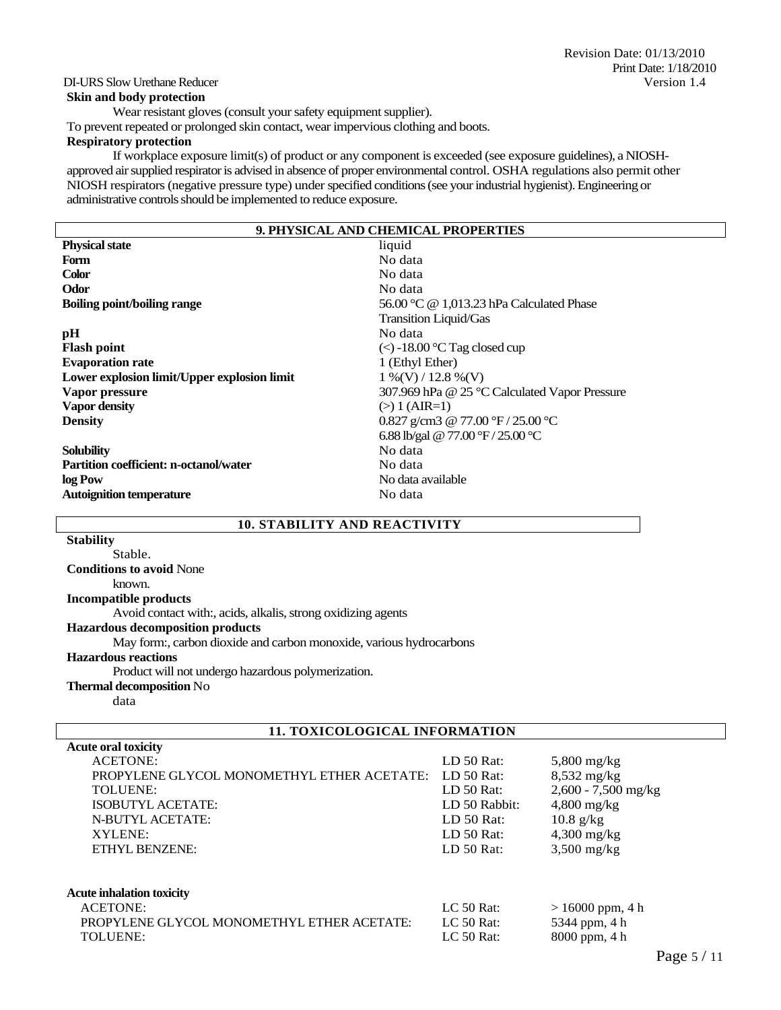# **Skin and body protection**

Wear resistant gloves (consult your safety equipment supplier). To prevent repeated or prolonged skin contact, wear impervious clothing and boots.

# **Respiratory protection**

If workplace exposure limit(s) of product or any component is exceeded (see exposure guidelines), a NIOSHapproved air supplied respirator is advised in absence of proper environmental control. OSHA regulations also permit other NIOSH respirators (negative pressure type) under specified conditions (see your industrial hygienist). Engineering or administrative controls should be implemented to reduce exposure.

| 9. PHYSICAL AND CHEMICAL PROPERTIES                                  |                                          |  |  |
|----------------------------------------------------------------------|------------------------------------------|--|--|
| <b>Physical state</b>                                                | liquid                                   |  |  |
| <b>Form</b>                                                          | No data                                  |  |  |
| <b>Color</b>                                                         | No data                                  |  |  |
| Odor                                                                 | No data                                  |  |  |
| <b>Boiling point/boiling range</b>                                   | 56.00 °C @ 1,013.23 hPa Calculated Phase |  |  |
|                                                                      | Transition Liquid/Gas                    |  |  |
| pH                                                                   | No data                                  |  |  |
| <b>Flash point</b>                                                   | $\le$ -18.00 °C Tag closed cup           |  |  |
| <b>Evaporation rate</b>                                              | 1 (Ethyl Ether)                          |  |  |
| Lower explosion limit/Upper explosion limit<br>$1\%$ (V) / 12.8 %(V) |                                          |  |  |
| Vapor pressure<br>307.969 hPa @ 25 °C Calculated Vapor Pressure      |                                          |  |  |
| <b>Vapor density</b><br>$(>) 1 (AIR=1)$                              |                                          |  |  |
| 0.827 g/cm3 @ 77.00 °F / 25.00 °C<br><b>Density</b>                  |                                          |  |  |
|                                                                      | 6.88 lb/gal @ 77.00 °F / 25.00 °C        |  |  |
| <b>Solubility</b>                                                    | No data                                  |  |  |
| <b>Partition coefficient: n-octanol/water</b>                        | No data                                  |  |  |
| log Pow<br>No data available                                         |                                          |  |  |
| <b>Autoignition temperature</b>                                      | No data                                  |  |  |
|                                                                      |                                          |  |  |

# **10. STABILITY AND REACTIVITY**

| <b>Stability</b>                                                    |
|---------------------------------------------------------------------|
| Stable.                                                             |
| <b>Conditions to avoid None</b>                                     |
| known.                                                              |
| <b>Incompatible products</b>                                        |
| Avoid contact with:, acids, alkalis, strong oxidizing agents        |
| <b>Hazardous decomposition products</b>                             |
| May form:, carbon dioxide and carbon monoxide, various hydrocarbons |
| <b>Hazardous reactions</b>                                          |
| Product will not undergo hazardous polymerization.                  |
| <b>Thermal decomposition No</b>                                     |
| data                                                                |

# **11. TOXICOLOGICAL INFORMATION**

| <b>Acute oral toxicity</b>                 |               |                     |
|--------------------------------------------|---------------|---------------------|
| <b>ACETONE:</b>                            | $LD 50$ Rat:  | $5,800$ mg/kg       |
| PROPYLENE GLYCOL MONOMETHYL ETHER ACETATE: | LD 50 Rat:    | $8,532$ mg/kg       |
| TOLUENE:                                   | $LD 50$ Rat:  | 2,600 - 7,500 mg/kg |
| ISOBUTYL ACETATE:                          | LD 50 Rabbit: | $4,800$ mg/kg       |
| N-BUTYL ACETATE:                           | LD $50$ Rat:  | $10.8$ g/kg         |
| XYLENE:                                    | $LD 50$ Rat:  | $4,300$ mg/kg       |
| ETHYL BENZENE:                             | LD $50$ Rat:  | $3,500$ mg/kg       |
|                                            |               |                     |
| <b>Acute inhalation toxicity</b>           |               |                     |
| <b>ACETONE:</b>                            | $LC$ 50 Rat:  | $> 16000$ ppm, 4 h  |
| PROPYLENE GLYCOL MONOMETHYL ETHER ACETATE: | $LC$ 50 Rat:  | 5344 ppm, 4 h       |
| TOLUENE:                                   | LC 50 Rat:    | 8000 ppm, 4 h       |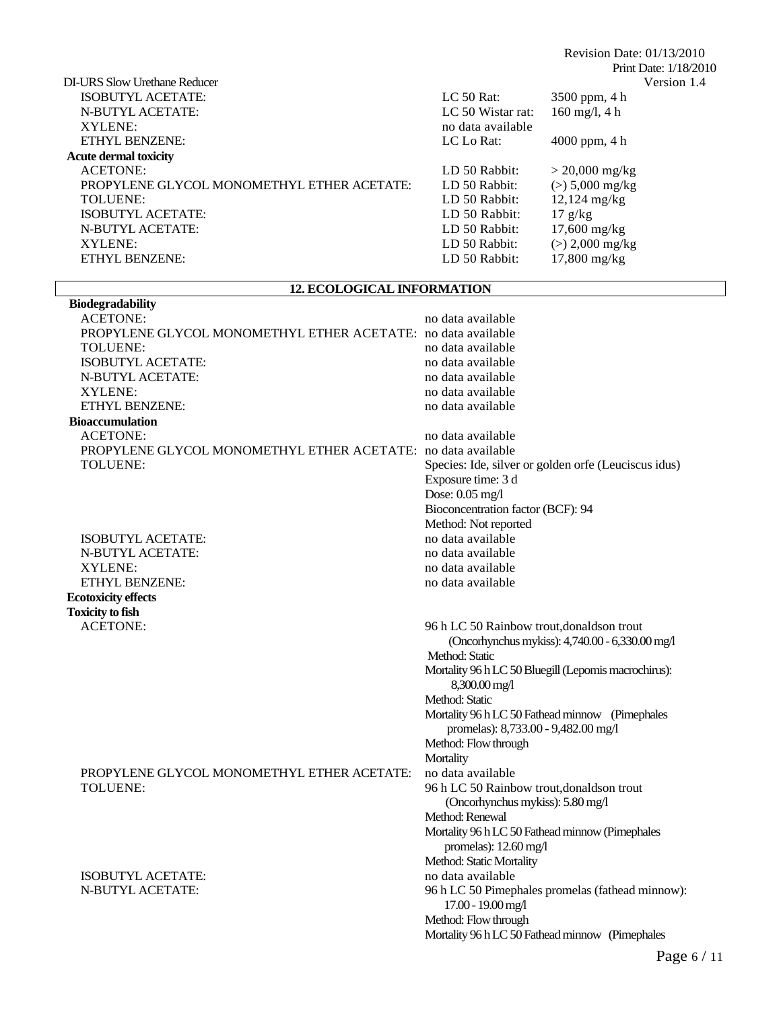|                   | Print Date: 1/18/2010           |
|-------------------|---------------------------------|
|                   | Version 1.4                     |
| $LC$ 50 Rat:      | 3500 ppm, 4 h                   |
| LC 50 Wistar rat: | $160 \text{ mg/l}, 4 \text{ h}$ |
| no data available |                                 |
| LC Lo Rat:        | $4000$ ppm, 4 h                 |
|                   |                                 |
| LD 50 Rabbit:     | $> 20,000$ mg/kg                |
| LD 50 Rabbit:     | $(>) 5,000$ mg/kg               |
| LD 50 Rabbit:     | $12,124 \text{ mg/kg}$          |
| LD 50 Rabbit:     | $17 \text{ g/kg}$               |
| LD 50 Rabbit:     | $17,600 \text{ mg/kg}$          |
| LD 50 Rabbit:     | $(>) 2,000$ mg/kg               |
| LD 50 Rabbit:     | $17,800$ mg/kg                  |
|                   |                                 |

# **12. ECOLOGICAL INFORMATION**

 $\mathbb{R}^n$ 

| <b>Biodegradability</b>                                             |                                                                                                                                                                                          |
|---------------------------------------------------------------------|------------------------------------------------------------------------------------------------------------------------------------------------------------------------------------------|
| <b>ACETONE:</b>                                                     | no data available                                                                                                                                                                        |
| <b>PROPYLENE GLYCOL MONOMETHYL ETHER ACETATE:</b> no data available |                                                                                                                                                                                          |
| TOLUENE:                                                            | no data available                                                                                                                                                                        |
| ISOBUTYL ACETATE:                                                   | no data available                                                                                                                                                                        |
| <b>N-BUTYL ACETATE:</b>                                             | no data available                                                                                                                                                                        |
| XYLENE:                                                             | no data available                                                                                                                                                                        |
| <b>ETHYL BENZENE:</b>                                               | no data available                                                                                                                                                                        |
| <b>Bioaccumulation</b>                                              |                                                                                                                                                                                          |
| <b>ACETONE:</b>                                                     | no data available                                                                                                                                                                        |
| <b>PROPYLENE GLYCOL MONOMETHYL ETHER ACETATE:</b> no data available |                                                                                                                                                                                          |
| TOLUENE:                                                            | Species: Ide, silver or golden orfe (Leuciscus idus)                                                                                                                                     |
|                                                                     | Exposure time: 3 d                                                                                                                                                                       |
|                                                                     | Dose: 0.05 mg/l                                                                                                                                                                          |
|                                                                     | Bioconcentration factor (BCF): 94                                                                                                                                                        |
|                                                                     | Method: Not reported                                                                                                                                                                     |
| <b>ISOBUTYL ACETATE:</b>                                            | no data available                                                                                                                                                                        |
| N-BUTYL ACETATE:                                                    | no data available                                                                                                                                                                        |
| XYLENE:                                                             | no data available                                                                                                                                                                        |
| ETHYL BENZENE:                                                      | no data available                                                                                                                                                                        |
| <b>Ecotoxicity effects</b>                                          |                                                                                                                                                                                          |
| <b>Toxicity to fish</b>                                             |                                                                                                                                                                                          |
| <b>ACETONE:</b>                                                     | 96 h LC 50 Rainbow trout, donalds on trout<br>(Oncorhynchus mykiss): 4,740.00 - 6,330.00 mg/l<br>Method: Static<br>Mortality 96 h LC 50 Bluegill (Lepomis macrochirus):<br>8,300.00 mg/l |
|                                                                     | Method: Static                                                                                                                                                                           |
|                                                                     | Mortality 96 h LC 50 Fathead minnow (Pimephales<br>promelas): 8,733.00 - 9,482.00 mg/l                                                                                                   |
|                                                                     | Method: Flow through                                                                                                                                                                     |
|                                                                     | Mortality                                                                                                                                                                                |
| PROPYLENE GLYCOL MONOMETHYL ETHER ACETATE:                          | no data available                                                                                                                                                                        |
| TOLUENE:                                                            | 96 h LC 50 Rainbow trout, donaldson trout                                                                                                                                                |
|                                                                     | (Oncorhynchus mykiss): 5.80 mg/l                                                                                                                                                         |
|                                                                     | Method: Renewal                                                                                                                                                                          |
|                                                                     | Mortality 96 h LC 50 Fathead minnow (Pimephales<br>promelas): $12.60$ mg/l                                                                                                               |
|                                                                     | Method: Static Mortality                                                                                                                                                                 |
| ISOBUTYL ACETATE:                                                   | no data available                                                                                                                                                                        |
| <b>N-BUTYL ACETATE:</b>                                             | 96 h LC 50 Pimephales promelas (fathead minnow):                                                                                                                                         |
|                                                                     | 17.00 - 19.00 mg/l                                                                                                                                                                       |
|                                                                     | Method: Flow through                                                                                                                                                                     |
|                                                                     | Mortality 96 h LC 50 Fathead minnow (Pimephales                                                                                                                                          |

Revision Date: 01/13/2010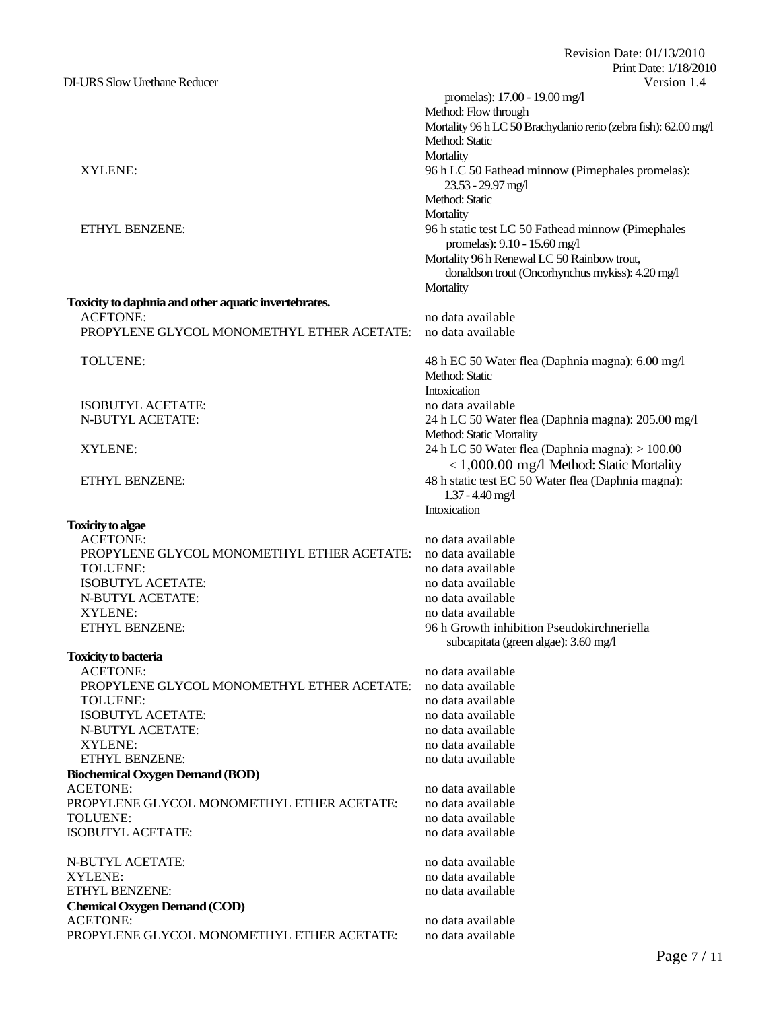Revision Date: 01/13/2010 Print Date: 1/18/2010 DI-URS Slow Urethane Reducer Version 1.4 promelas): 17.00 - 19.00 mg/l Method: Flow through Mortality 96 h LC 50 Brachydanio rerio (zebra fish): 62.00 mg/l Method: Static **Mortality** XYLENE: 96 h LC 50 Fathead minnow (Pimephales promelas): 23.53 - 29.97 mg/l Method: Static **Mortality** ETHYL BENZENE: 96 h static test LC 50 Fathead minnow (Pimephales promelas): 9.10 - 15.60 mg/l Mortality 96 h Renewal LC 50 Rainbow trout, donaldson trout (Oncorhynchus mykiss): 4.20mg/l **Mortality Toxicity to daphnia and other aquatic invertebrates.** ACETONE: no data available PROPYLENE GLYCOL MONOMETHYL ETHER ACETATE: no data available TOLUENE: 48 h EC 50 Water flea (Daphnia magna): 6.00 mg/l Method: Static **Intoxication** ISOBUTYL ACETATE: no data available N-BUTYL ACETATE: 24 h LC 50 Water flea (Daphnia magna): 205.00 mg/l Method: Static Mortality XYLENE: 24 h LC 50 Water flea (Daphnia magna): > 100.00 – < 1,000.00 mg/l Method: Static Mortality ETHYL BENZENE: 48 h static test EC 50 Water flea (Daphnia magna): 1.37 -4.40 mg/l Intoxication no data available PROPYLENE GLYCOL MONOMETHYL ETHER ACETATE: no data available TOLUENE: no data available no data available ISOBUTYL ACETATE:<br>
N-BUTYL ACETATE:<br>
no data available<br>
no data available XYLENE: no data available https://www.facebook.com/intervalue.com/intervalue.com/intervalue.com/intervalue.com/intervalue.com/intervalue.com/intervalue.com/intervalue.com/intervalue.com/intervalue.com/intervalue.com/interv ETHYL BENZENE: 96 h Growth inhibition Pseudokirchneriella subcapitata (green algae): 3.60 mg/l ACETONE: no data available PROPYLENE GLYCOL MONOMETHYL ETHER ACETATE: no data available TOLUENE: no data available no data available ISOBUTYL ACETATE: no data available N-BUTYL ACETATE: no data available XYLENE: no data available no data available ETHYL BENZENE: no data available ACETONE: no data available no data available PROPYLENE GLYCOL MONOMETHYL ETHER ACETATE: no data available TOLUENE: no data available no data available ISOBUTYL ACETATE: no data available

N-BUTYL ACETATE: no data available XYLENE: no data available ETHYL BENZENE: no data available **Chemical Oxygen Demand (COD)** ACETONE: no data available PROPYLENE GLYCOL MONOMETHYL ETHER ACETATE: no data available

**Toxicity to algae**

**Toxicity to bacteria**

N-BUTYL ACETATE:

**Biochemical Oxygen Demand (BOD)**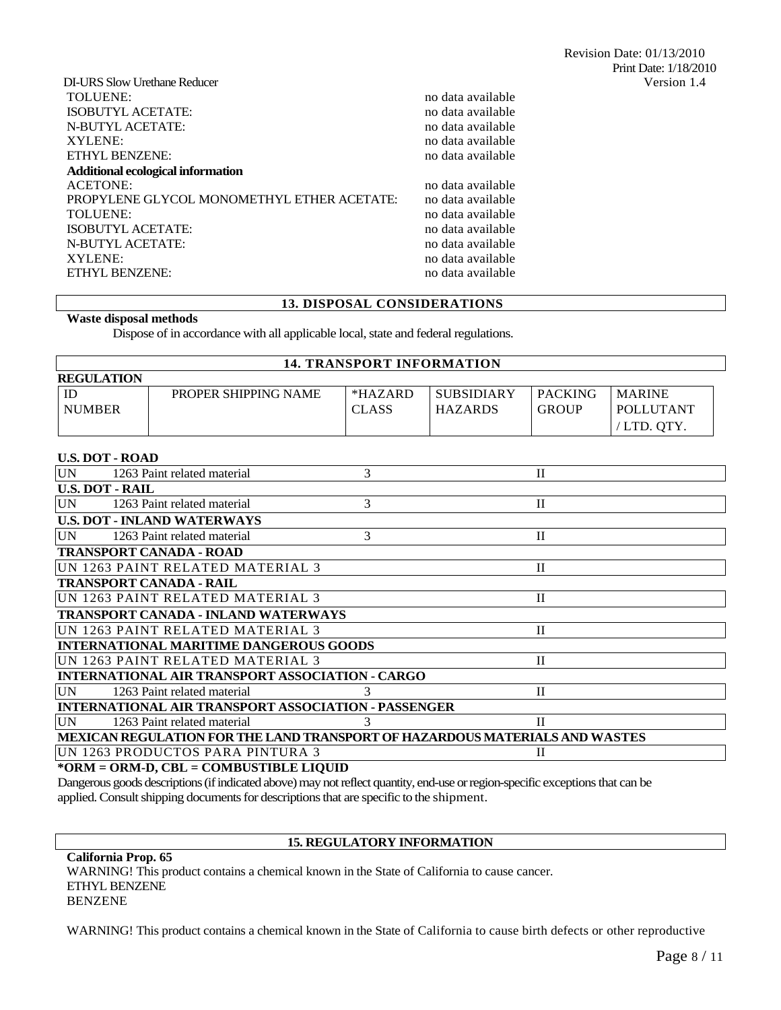| DI-URS Slow Urethane Reducer               |                   | Version 1.4 |
|--------------------------------------------|-------------------|-------------|
| TOLUENE:                                   | no data available |             |
| ISOBUTYL ACETATE:                          | no data available |             |
| N-BUTYL ACETATE:                           | no data available |             |
| XYLENE:                                    | no data available |             |
| ETHYL BENZENE:                             | no data available |             |
| Additional ecological information          |                   |             |
| ACETONE:                                   | no data available |             |
| PROPYLENE GLYCOL MONOMETHYL ETHER ACETATE: | no data available |             |
| TOLUENE:                                   | no data available |             |
| ISOBUTYL ACETATE:                          | no data available |             |
| N-BUTYL ACETATE:                           | no data available |             |
| XYLENE:                                    | no data available |             |
| ETHYL BENZENE:                             | no data available |             |
|                                            |                   |             |

### **13. DISPOSAL CONSIDERATIONS**

#### **Waste disposal methods**

Dispose of in accordance with all applicable local, state and federal regulations.

| <b>14. TRANSPORT INFORMATION</b> |                      |              |                   |                |                  |
|----------------------------------|----------------------|--------------|-------------------|----------------|------------------|
| <b>REGULATION</b>                |                      |              |                   |                |                  |
| ID                               | PROPER SHIPPING NAME | $*HAZARD$    | <b>SUBSIDIARY</b> | <b>PACKING</b> | <b>MARINE</b>    |
| <b>NUMBER</b>                    |                      | <b>CLASS</b> | <b>HAZARDS</b>    | <b>GROUP</b>   | <b>POLLUTANT</b> |
|                                  |                      |              |                   |                | 'LTD. OTY.       |

### **U.S. DOT - ROAD**

| <b>UN</b> | 1263 Paint related material                                                 |   | П            |
|-----------|-----------------------------------------------------------------------------|---|--------------|
|           | <b>U.S. DOT - RAIL</b>                                                      |   |              |
| <b>UN</b> | 1263 Paint related material                                                 | 3 | П            |
|           | <b>U.S. DOT - INLAND WATERWAYS</b>                                          |   |              |
| <b>UN</b> | 1263 Paint related material                                                 | 3 | П            |
|           | <b>TRANSPORT CANADA - ROAD</b>                                              |   |              |
|           | UN 1263 PAINT RELATED MATERIAL 3                                            |   | П            |
|           | <b>TRANSPORT CANADA - RAIL</b>                                              |   |              |
|           | UN 1263 PAINT RELATED MATERIAL 3                                            |   | П            |
|           | <b>TRANSPORT CANADA - INLAND WATERWAYS</b>                                  |   |              |
|           | UN 1263 PAINT RELATED MATERIAL 3                                            |   | П            |
|           | <b>INTERNATIONAL MARITIME DANGEROUS GOODS</b>                               |   |              |
|           | IUN 1263 PAINT RELATED MATERIAL 3                                           |   | П            |
|           | INTERNATIONAL AIR TRANSPORT ASSOCIATION - CARGO                             |   |              |
| UN        | 1263 Paint related material                                                 |   | $\mathbf{I}$ |
|           | INTERNATIONAL AIR TRANSPORT ASSOCIATION - PASSENGER                         |   |              |
| UN.       | 1263 Paint related material                                                 |   | П            |
|           | MEXICAN REGULATION FOR THE LAND TRANSPORT OF HAZARDOUS MATERIALS AND WASTES |   |              |
|           | UN 1263 PRODUCTOS PARA PINTURA 3                                            |   | П            |
|           | *ODM – ODM D. CDI – COMDHETIDI E I IOHD                                     |   |              |

**\*ORM = ORM-D, CBL = COMBUSTIBLE LIQUID**

Dangerous goods descriptions (if indicated above) may not reflect quantity, end-use or region-specific exceptions that can be applied. Consult shipping documents for descriptions that are specific to the shipment.

### **15. REGULATORY INFORMATION**

**California Prop. 65** WARNING! This product contains a chemical known in the State of California to cause cancer. ETHYL BENZENE BENZENE

WARNING! This product contains a chemical known in the State of California to cause birth defects or other reproductive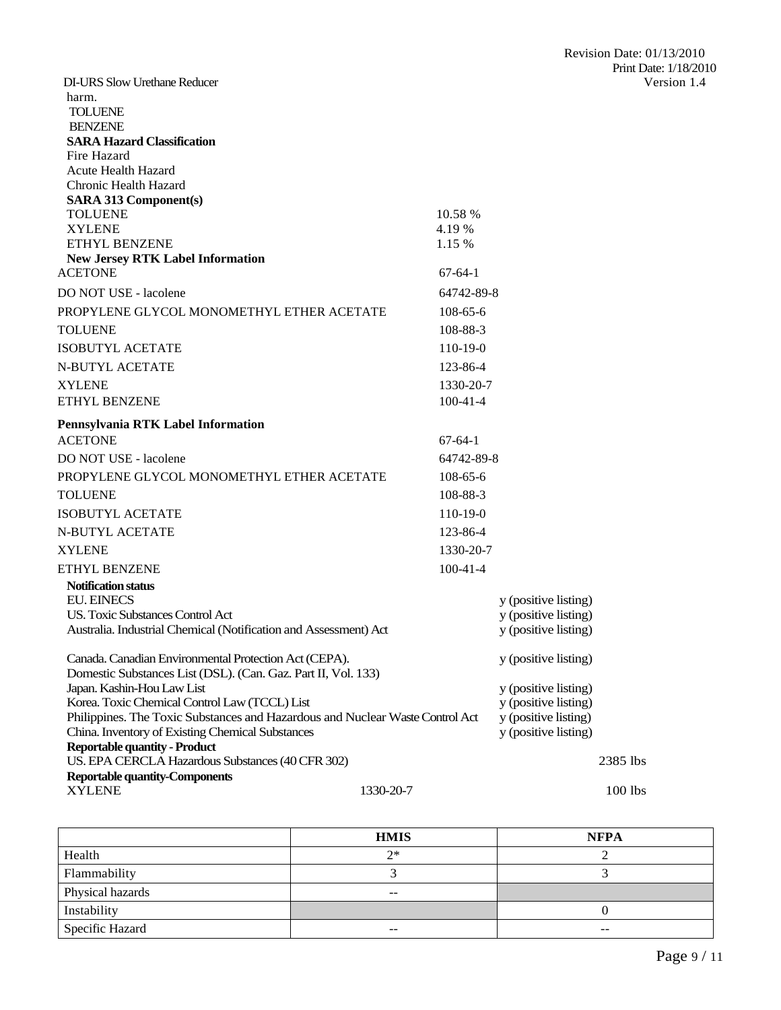| <b>DI-URS Slow Urethane Reducer</b>                                                      |                      | Version 1.4 |
|------------------------------------------------------------------------------------------|----------------------|-------------|
| harm.                                                                                    |                      |             |
| <b>TOLUENE</b>                                                                           |                      |             |
| <b>BENZENE</b>                                                                           |                      |             |
| <b>SARA Hazard Classification</b>                                                        |                      |             |
| Fire Hazard<br><b>Acute Health Hazard</b>                                                |                      |             |
| Chronic Health Hazard                                                                    |                      |             |
| <b>SARA 313 Component(s)</b>                                                             |                      |             |
| <b>TOLUENE</b>                                                                           | 10.58 %              |             |
| <b>XYLENE</b>                                                                            | 4.19%                |             |
| ETHYL BENZENE                                                                            | 1.15 %               |             |
| <b>New Jersey RTK Label Information</b>                                                  |                      |             |
| <b>ACETONE</b>                                                                           | $67-64-1$            |             |
| DO NOT USE - lacolene                                                                    | 64742-89-8           |             |
| PROPYLENE GLYCOL MONOMETHYL ETHER ACETATE                                                | $108 - 65 - 6$       |             |
| <b>TOLUENE</b>                                                                           | 108-88-3             |             |
| <b>ISOBUTYL ACETATE</b>                                                                  | $110-19-0$           |             |
| <b>N-BUTYL ACETATE</b>                                                                   | 123-86-4             |             |
| <b>XYLENE</b>                                                                            | 1330-20-7            |             |
| ETHYL BENZENE                                                                            | $100-41-4$           |             |
| Pennsylvania RTK Label Information                                                       |                      |             |
| <b>ACETONE</b>                                                                           | $67-64-1$            |             |
| DO NOT USE - lacolene                                                                    | 64742-89-8           |             |
| PROPYLENE GLYCOL MONOMETHYL ETHER ACETATE                                                | $108 - 65 - 6$       |             |
| <b>TOLUENE</b>                                                                           | 108-88-3             |             |
| <b>ISOBUTYL ACETATE</b>                                                                  | $110-19-0$           |             |
| <b>N-BUTYL ACETATE</b>                                                                   | 123-86-4             |             |
| <b>XYLENE</b>                                                                            | 1330-20-7            |             |
| ETHYL BENZENE                                                                            | $100-41-4$           |             |
| <b>Notification status</b>                                                               |                      |             |
| <b>EU. EINECS</b>                                                                        | y (positive listing) |             |
| <b>US. Toxic Substances Control Act</b>                                                  | y (positive listing) |             |
| Australia. Industrial Chemical (Notification and Assessment) Act                         | y (positive listing) |             |
| Canada. Canadian Environmental Protection Act (CEPA).                                    | y (positive listing) |             |
| Domestic Substances List (DSL). (Can. Gaz. Part II, Vol. 133)                            |                      |             |
| Japan. Kashin-Hou Law List                                                               | y (positive listing) |             |
| Korea. Toxic Chemical Control Law (TCCL) List                                            | y (positive listing) |             |
| Philippines. The Toxic Substances and Hazardous and Nuclear Waste Control Act            | y (positive listing) |             |
| China. Inventory of Existing Chemical Substances                                         | y (positive listing) |             |
| <b>Reportable quantity - Product</b><br>US. EPA CERCLA Hazardous Substances (40 CFR 302) |                      | 2385 lbs    |
| <b>Reportable quantity-Components</b>                                                    |                      |             |
| 1330-20-7<br><b>XYLENE</b>                                                               |                      | 100 lbs     |
|                                                                                          |                      |             |

|                  | <b>HMIS</b> | <b>NFPA</b> |
|------------------|-------------|-------------|
| Health           | $2*$        |             |
| Flammability     |             |             |
| Physical hazards | $- -$       |             |
| Instability      |             |             |
| Specific Hazard  | $- -$       | $- -$       |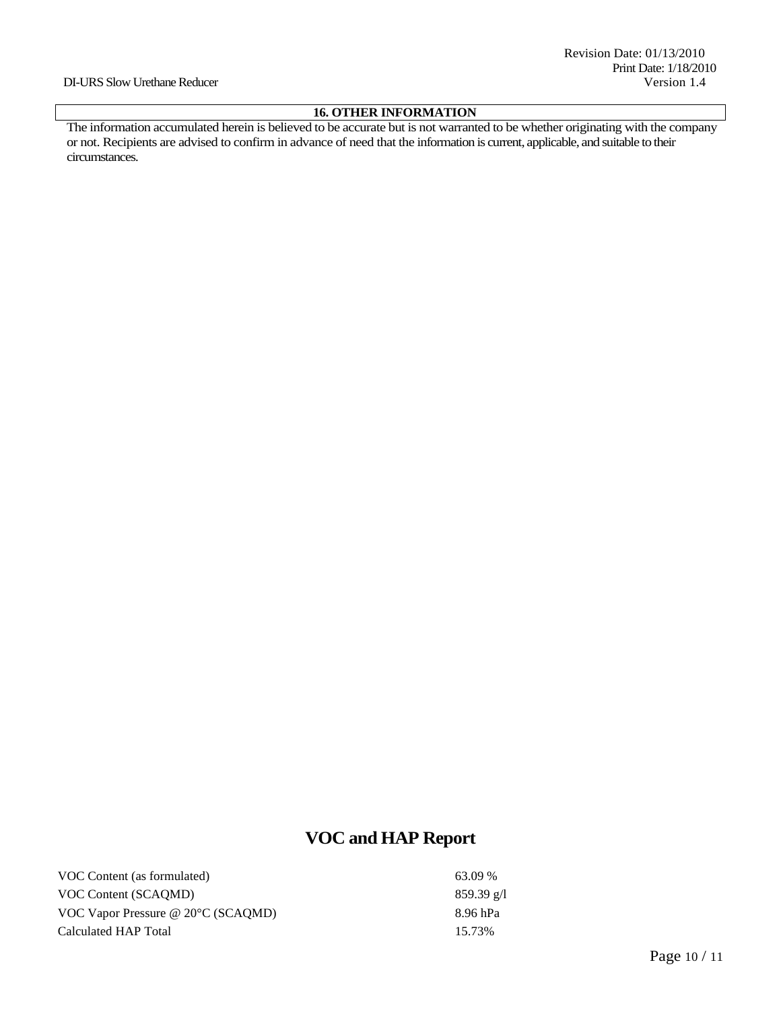#### DI-URS Slow Urethane Reducer Version 1.4

# **16. OTHER INFORMATION**

The information accumulated herein is believed to be accurate but is not warranted to be whether originating with the company or not. Recipients are advised to confirm in advance of need that the information is current, applicable, and suitable to their circumstances.

# **VOC and HAP Report**

| VOC Content (as formulated)                  | 63.09 %              |
|----------------------------------------------|----------------------|
| VOC Content (SCAOMD)                         | $859.39 \text{ g/l}$ |
| VOC Vapor Pressure @ $20^{\circ}$ C (SCAOMD) | 8.96 hPa             |
| Calculated HAP Total                         | 15.73%               |